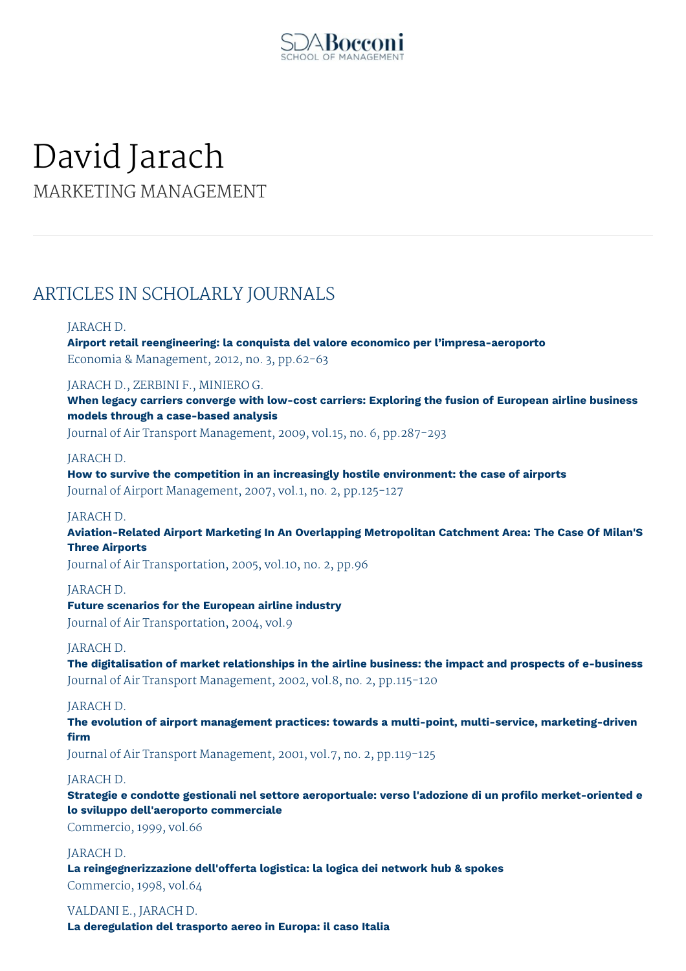

# David Jarach

MARKETING MANAGEMENT

# ARTICLES IN SCHOLARLY JOURNALS

# JARACH D.

**Airport retail reengineering: la conquista del valore economico per l'impresa-aeroporto** Economia & Management, 2012, no. 3, pp.62-63

# JARACH D., ZERBINI F., MINIERO G.

**When legacy carriers converge with low-cost carriers: Exploring the fusion of European airline business models through a case-based analysis**

Journal of Air Transport Management, 2009, vol.15, no. 6, pp.287-293

# JARACH D.

**How to survive the competition in an increasingly hostile environment: the case of airports** Journal of Airport Management, 2007, vol.1, no. 2, pp.125-127

# JARACH D.

**Aviation-Related Airport Marketing In An Overlapping Metropolitan Catchment Area: The Case Of Milan'S Three Airports**

Journal of Air Transportation, 2005, vol.10, no. 2, pp.96

# JARACH D.

**Future scenarios for the European airline industry**

Journal of Air Transportation, 2004, vol.9

# JARACH D.

**The digitalisation of market relationships in the airline business: the impact and prospects of e-business** Journal of Air Transport Management, 2002, vol.8, no. 2, pp.115-120

# JARACH D.

**The evolution of airport management practices: towards a multi-point, multi-service, marketing-driven firm**

Journal of Air Transport Management, 2001, vol.7, no. 2, pp.119-125

# JARACH D.

**Strategie e condotte gestionali nel settore aeroportuale: verso l'adozione di un profilo merket-oriented e lo sviluppo dell'aeroporto commerciale**

Commercio, 1999, vol.66

#### JARACH D.

**La reingegnerizzazione dell'offerta logistica: la logica dei network hub & spokes** Commercio, 1998, vol.64

VALDANI E., JARACH D.

**La deregulation del trasporto aereo in Europa: il caso Italia**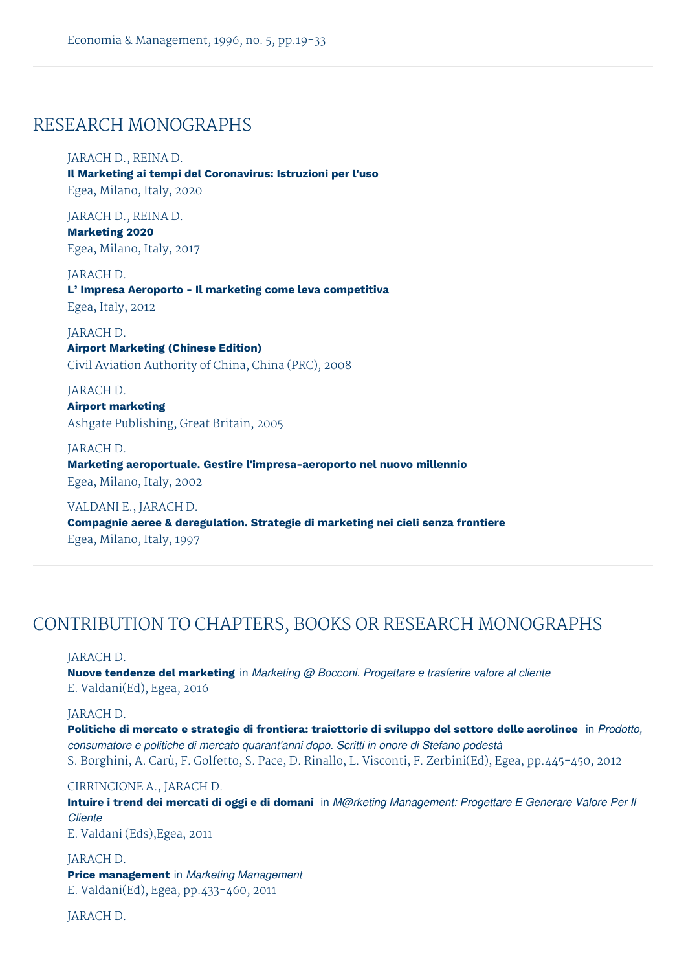# RESEARCH MONOGRAPHS

# JARACH D., REINA D.

**Il Marketing ai tempi del Coronavirus: Istruzioni per l'uso** Egea, Milano, Italy, 2020

JARACH D., REINA D.

**Marketing 2020** Egea, Milano, Italy, 2017

JARACH D. **L' Impresa Aeroporto - Il marketing come leva competitiva** Egea, Italy, 2012

#### JARACH D.

**Airport Marketing (Chinese Edition)** Civil Aviation Authority of China, China (PRC), 2008

JARACH D. **Airport marketing** Ashgate Publishing, Great Britain, 2005

JARACH D. **Marketing aeroportuale. Gestire l'impresa-aeroporto nel nuovo millennio** Egea, Milano, Italy, 2002

VALDANI E., JARACH D. **Compagnie aeree & deregulation. Strategie di marketing nei cieli senza frontiere** Egea, Milano, Italy, 1997

# CONTRIBUTION TO CHAPTERS, BOOKS OR RESEARCH MONOGRAPHS

#### JARACH D.

**Nuove tendenze del marketing** in *Marketing @ Bocconi. Progettare e trasferire valore al cliente* E. Valdani(Ed), Egea, 2016

# JARACH D.

**Politiche di mercato e strategie di frontiera: traiettorie di sviluppo del settore delle aerolinee** in *Prodotto, consumatore e politiche di mercato quarant'anni dopo. Scritti in onore di Stefano podestà* S. Borghini, A. Carù, F. Golfetto, S. Pace, D. Rinallo, L. Visconti, F. Zerbini(Ed), Egea, pp.445-450, 2012

#### CIRRINCIONE A., JARACH D.

Intuire i trend dei mercati di oggi e di domani in M@rketing Management: Progettare E Generare Valore Per II *Cliente*

E. Valdani (Eds),Egea, 2011

JARACH D. **Price management** in *Marketing Management* E. Valdani(Ed), Egea, pp.433-460, 2011

JARACH D.